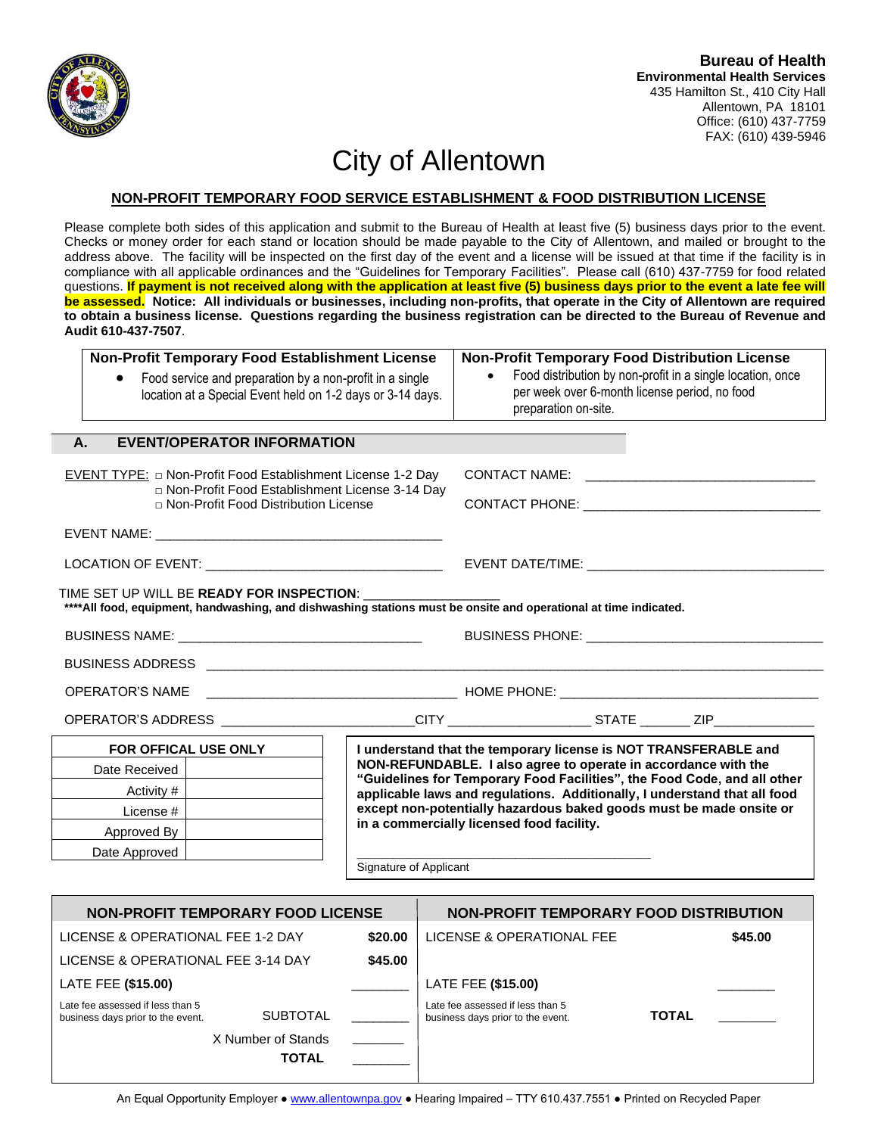

## City of Allentown

## **NON-PROFIT TEMPORARY FOOD SERVICE ESTABLISHMENT & FOOD DISTRIBUTION LICENSE**

Please complete both sides of this application and submit to the Bureau of Health at least five (5) business days prior to the event. Checks or money order for each stand or location should be made payable to the City of Allentown, and mailed or brought to the address above. The facility will be inspected on the first day of the event and a license will be issued at that time if the facility is in compliance with all applicable ordinances and the "Guidelines for Temporary Facilities". Please call (610) 437-7759 for food related questions. If payment is not received along with the application at least five (5) business days prior to the event a late fee will **be assessed. Notice: All individuals or businesses, including non-profits, that operate in the City of Allentown are required to obtain a business license. Questions regarding the business registration can be directed to the Bureau of Revenue and Audit 610-437-7507**.

|                                                                                                                                     | Non-Profit Temporary Food Establishment License |                                                                 | <b>Non-Profit Temporary Food Distribution License</b>                                                                                                                                                                          |  |  |  |
|-------------------------------------------------------------------------------------------------------------------------------------|-------------------------------------------------|-----------------------------------------------------------------|--------------------------------------------------------------------------------------------------------------------------------------------------------------------------------------------------------------------------------|--|--|--|
| Food service and preparation by a non-profit in a single<br>$\bullet$<br>location at a Special Event held on 1-2 days or 3-14 days. |                                                 |                                                                 | Food distribution by non-profit in a single location, once<br>per week over 6-month license period, no food<br>preparation on-site.                                                                                            |  |  |  |
| A.                                                                                                                                  | <b>EVENT/OPERATOR INFORMATION</b>               |                                                                 |                                                                                                                                                                                                                                |  |  |  |
|                                                                                                                                     |                                                 |                                                                 | <b>CONTACT NAME:</b>                                                                                                                                                                                                           |  |  |  |
| EVENT TYPE: $\Box$ Non-Profit Food Establishment License 1-2 Day<br>□ Non-Profit Food Establishment License 3-14 Day                |                                                 |                                                                 |                                                                                                                                                                                                                                |  |  |  |
| □ Non-Profit Food Distribution License                                                                                              |                                                 |                                                                 | CONTACT PHONE: And the contract of the contract of the contract of the contract of the contract of the contract of the contract of the contract of the contract of the contract of the contract of the contract of the contrac |  |  |  |
|                                                                                                                                     |                                                 |                                                                 |                                                                                                                                                                                                                                |  |  |  |
|                                                                                                                                     |                                                 |                                                                 |                                                                                                                                                                                                                                |  |  |  |
|                                                                                                                                     | TIME SET UP WILL BE READY FOR INSPECTION:       |                                                                 |                                                                                                                                                                                                                                |  |  |  |
|                                                                                                                                     |                                                 |                                                                 | **** All food, equipment, handwashing, and dishwashing stations must be onsite and operational at time indicated.                                                                                                              |  |  |  |
|                                                                                                                                     |                                                 |                                                                 |                                                                                                                                                                                                                                |  |  |  |
|                                                                                                                                     |                                                 |                                                                 |                                                                                                                                                                                                                                |  |  |  |
| <b>OPERATOR'S NAME</b>                                                                                                              |                                                 |                                                                 |                                                                                                                                                                                                                                |  |  |  |
|                                                                                                                                     |                                                 |                                                                 |                                                                                                                                                                                                                                |  |  |  |
| FOR OFFICAL USE ONLY                                                                                                                |                                                 | I understand that the temporary license is NOT TRANSFERABLE and |                                                                                                                                                                                                                                |  |  |  |
| Date Received                                                                                                                       |                                                 |                                                                 | NON-REFUNDABLE. I also agree to operate in accordance with the<br>"Guidelines for Temporary Food Facilities", the Food Code, and all other                                                                                     |  |  |  |
| Activity #                                                                                                                          |                                                 |                                                                 | applicable laws and regulations. Additionally, I understand that all food                                                                                                                                                      |  |  |  |
| License #                                                                                                                           |                                                 |                                                                 | except non-potentially hazardous baked goods must be made onsite or<br>in a commercially licensed food facility.                                                                                                               |  |  |  |
| Approved By                                                                                                                         |                                                 |                                                                 |                                                                                                                                                                                                                                |  |  |  |
| Date Approved                                                                                                                       |                                                 | Signature of Applicant                                          |                                                                                                                                                                                                                                |  |  |  |
|                                                                                                                                     |                                                 |                                                                 |                                                                                                                                                                                                                                |  |  |  |
| <b>NON-PROFIT TEMPORARY FOOD LICENSE</b>                                                                                            |                                                 |                                                                 | <b>NON-PROFIT TEMPORARY FOOD DISTRIBUTION</b>                                                                                                                                                                                  |  |  |  |
| LICENSE & OPERATIONAL FEE 1-2 DAY                                                                                                   |                                                 | \$20.00                                                         | LICENSE & OPERATIONAL FEE<br>\$45.00                                                                                                                                                                                           |  |  |  |
| LICENSE & OPERATIONAL FEE 3-14 DAY                                                                                                  |                                                 | \$45.00                                                         |                                                                                                                                                                                                                                |  |  |  |
| <b>LATE FEE (\$15.00)</b>                                                                                                           |                                                 |                                                                 | LATE FEE (\$15.00)                                                                                                                                                                                                             |  |  |  |
| Late fee assessed if less than 5<br><b>SUBTOTAL</b><br>business days prior to the event.                                            |                                                 |                                                                 | Late fee assessed if less than 5<br><b>TOTAL</b><br>business days prior to the event.                                                                                                                                          |  |  |  |

An Equal Opportunity Employer • [www.allentownpa.gov](http://www.allentownpa.gov/) • Hearing Impaired – TTY 610.437.7551 • Printed on Recycled Paper

X Number of Stands

**TOTAL** \_\_\_\_\_\_\_\_